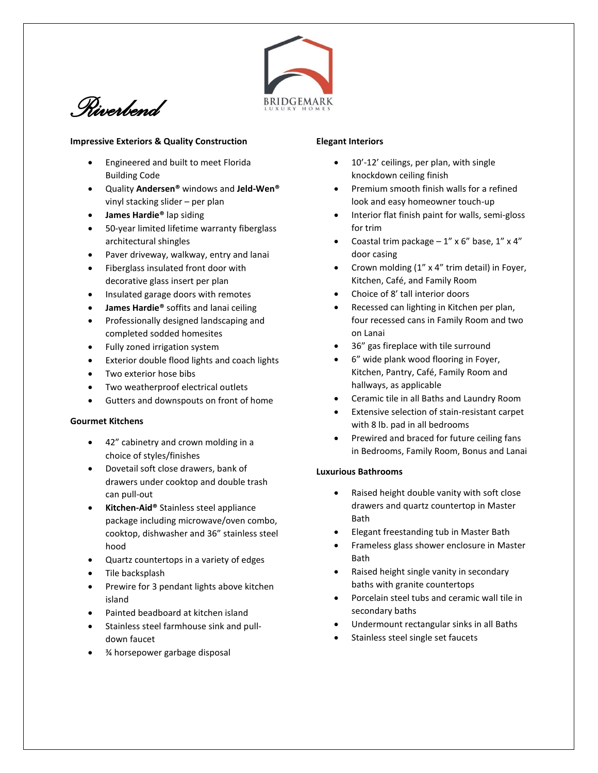

*Riverbend* 

#### **Impressive Exteriors & Quality Construction**

- Engineered and built to meet Florida Building Code
- Quality **Andersen®** windows and **Jeld-Wen®** vinyl stacking slider – per plan
- **James Hardie®** lap siding
- 50-year limited lifetime warranty fiberglass architectural shingles
- Paver driveway, walkway, entry and lanai
- Fiberglass insulated front door with decorative glass insert per plan
- Insulated garage doors with remotes
- **James Hardie®** soffits and lanai ceiling
- Professionally designed landscaping and completed sodded homesites
- Fully zoned irrigation system
- Exterior double flood lights and coach lights
- Two exterior hose bibs
- Two weatherproof electrical outlets
- Gutters and downspouts on front of home

# **Gourmet Kitchens**

- 42" cabinetry and crown molding in a choice of styles/finishes
- Dovetail soft close drawers, bank of drawers under cooktop and double trash can pull-out
- **Kitchen-Aid®** Stainless steel appliance package including microwave/oven combo, cooktop, dishwasher and 36" stainless steel hood
- Quartz countertops in a variety of edges
- Tile backsplash
- Prewire for 3 pendant lights above kitchen island
- Painted beadboard at kitchen island
- Stainless steel farmhouse sink and pulldown faucet
- ¾ horsepower garbage disposal

## **Elegant Interiors**

- 10'-12' ceilings, per plan, with single knockdown ceiling finish
- Premium smooth finish walls for a refined look and easy homeowner touch-up
- Interior flat finish paint for walls, semi-gloss for trim
- Coastal trim package  $-1''$  x 6" base,  $1''$  x 4" door casing
- Crown molding (1" x 4" trim detail) in Foyer, Kitchen, Café, and Family Room
- Choice of 8' tall interior doors
- Recessed can lighting in Kitchen per plan, four recessed cans in Family Room and two on Lanai
- 36" gas fireplace with tile surround
- 6" wide plank wood flooring in Foyer, Kitchen, Pantry, Café, Family Room and hallways, as applicable
- Ceramic tile in all Baths and Laundry Room
- Extensive selection of stain-resistant carpet with 8 lb. pad in all bedrooms
- Prewired and braced for future ceiling fans in Bedrooms, Family Room, Bonus and Lanai

# **Luxurious Bathrooms**

- Raised height double vanity with soft close drawers and quartz countertop in Master Bath
- Elegant freestanding tub in Master Bath
- Frameless glass shower enclosure in Master Bath
- Raised height single vanity in secondary baths with granite countertops
- Porcelain steel tubs and ceramic wall tile in secondary baths
- Undermount rectangular sinks in all Baths
- Stainless steel single set faucets